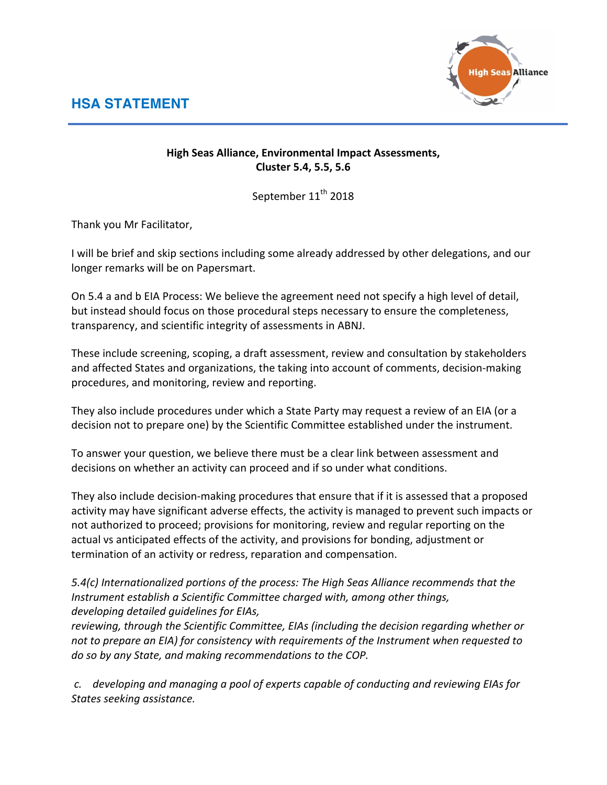**HSA STATEMENT**



## **High Seas Alliance, Environmental Impact Assessments, Cluster 5.4, 5.5, 5.6**

September 11<sup>th</sup> 2018

Thank you Mr Facilitator,

I will be brief and skip sections including some already addressed by other delegations, and our longer remarks will be on Papersmart.

On 5.4 a and b EIA Process: We believe the agreement need not specify a high level of detail, but instead should focus on those procedural steps necessary to ensure the completeness, transparency, and scientific integrity of assessments in ABNJ.

These include screening, scoping, a draft assessment, review and consultation by stakeholders and affected States and organizations, the taking into account of comments, decision-making procedures, and monitoring, review and reporting.

They also include procedures under which a State Party may request a review of an EIA (or a decision not to prepare one) by the Scientific Committee established under the instrument.

To answer your question, we believe there must be a clear link between assessment and decisions on whether an activity can proceed and if so under what conditions.

They also include decision-making procedures that ensure that if it is assessed that a proposed activity may have significant adverse effects, the activity is managed to prevent such impacts or not authorized to proceed; provisions for monitoring, review and regular reporting on the actual vs anticipated effects of the activity, and provisions for bonding, adjustment or termination of an activity or redress, reparation and compensation.

5.4(c) Internationalized portions of the process: The High Seas Alliance recommends that the *Instrument establish a Scientific Committee charged with, among other things,* developing detailed quidelines for EIAs,

reviewing, through the Scientific Committee, EIAs (including the decision regarding whether or not to prepare an EIA) for consistency with requirements of the Instrument when requested to do so by any State, and making recommendations to the COP.

*c. developing and managing a pool of experts capable of conducting and reviewing EIAs for States seeking assistance.*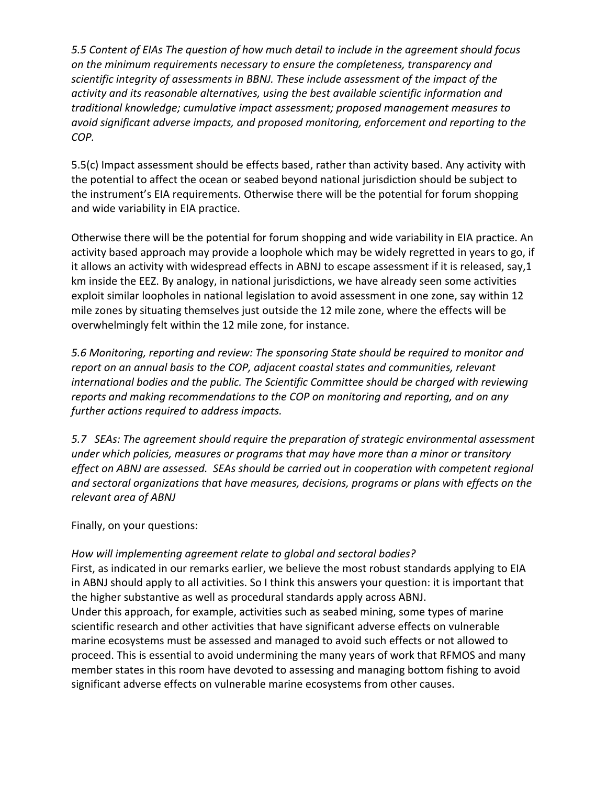*5.5* Content of EIAs The question of how much detail to include in the agreement should focus on the minimum requirements necessary to ensure the completeness, transparency and scientific integrity of assessments in BBNJ. These include assessment of the impact of the activity and its reasonable alternatives, using the best available scientific information and *traditional knowledge; cumulative impact assessment; proposed management measures to avoid significant adverse impacts, and proposed monitoring, enforcement and reporting to the COP.*

5.5(c) Impact assessment should be effects based, rather than activity based. Any activity with the potential to affect the ocean or seabed beyond national jurisdiction should be subject to the instrument's EIA requirements. Otherwise there will be the potential for forum shopping and wide variability in EIA practice.

Otherwise there will be the potential for forum shopping and wide variability in EIA practice. An activity based approach may provide a loophole which may be widely regretted in years to go, if it allows an activity with widespread effects in ABNJ to escape assessment if it is released, say,1 km inside the EEZ. By analogy, in national jurisdictions, we have already seen some activities exploit similar loopholes in national legislation to avoid assessment in one zone, say within 12 mile zones by situating themselves just outside the 12 mile zone, where the effects will be overwhelmingly felt within the 12 mile zone, for instance.

*5.6* Monitoring, reporting and review: The sponsoring State should be required to monitor and *report* on an annual basis to the COP, adjacent coastal states and communities, relevant *international bodies and the public. The Scientific Committee should be charged with reviewing reports* and making recommendations to the COP on monitoring and reporting, and on any *further actions required to address impacts.*

*5.7 SEAs: The agreement should require the preparation of strategic environmental assessment under* which policies, measures or programs that may have more than a minor or transitory effect on ABNJ are assessed. SEAs should be carried out in cooperation with competent regional and sectoral organizations that have measures, decisions, programs or plans with effects on the *relevant area of ABNJ*

Finally, on your questions:

## How will implementing agreement relate to global and sectoral bodies?

First, as indicated in our remarks earlier, we believe the most robust standards applying to EIA in ABNJ should apply to all activities. So I think this answers your question: it is important that the higher substantive as well as procedural standards apply across ABNJ.

Under this approach, for example, activities such as seabed mining, some types of marine scientific research and other activities that have significant adverse effects on vulnerable marine ecosystems must be assessed and managed to avoid such effects or not allowed to proceed. This is essential to avoid undermining the many years of work that RFMOS and many member states in this room have devoted to assessing and managing bottom fishing to avoid significant adverse effects on vulnerable marine ecosystems from other causes.